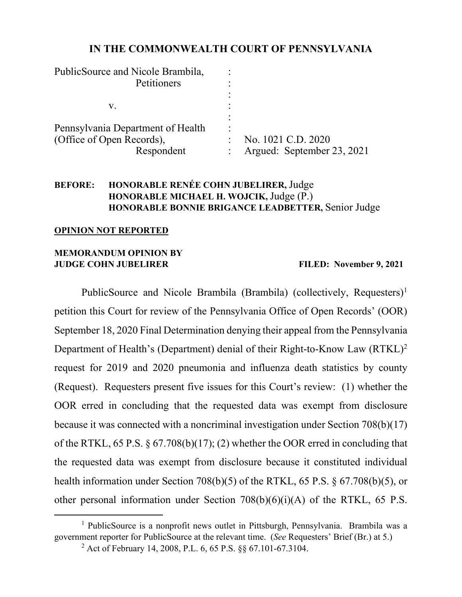# **IN THE COMMONWEALTH COURT OF PENNSYLVANIA**

| PublicSource and Nicole Brambila, |                            |
|-----------------------------------|----------------------------|
| Petitioners                       |                            |
|                                   |                            |
| V.                                |                            |
|                                   |                            |
| Pennsylvania Department of Health | ٠                          |
| (Office of Open Records),         | No. 1021 C.D. 2020         |
| Respondent                        | Argued: September 23, 2021 |

# **BEFORE: HONORABLE RENÉE COHN JUBELIRER,** Judge **HONORABLE MICHAEL H. WOJCIK,** Judge (P.) **HONORABLE BONNIE BRIGANCE LEADBETTER,** Senior Judge

#### **OPINION NOT REPORTED**

# **MEMORANDUM OPINION BY JUDGE COHN JUBELIRER FILED: November 9, 2021**

PublicSource and Nicole Brambila (Brambila) (collectively, Requesters)<sup>1</sup> petition this Court for review of the Pennsylvania Office of Open Records' (OOR) September 18, 2020 Final Determination denying their appeal from the Pennsylvania Department of Health's (Department) denial of their Right-to-Know Law (RTKL)<sup>2</sup> request for 2019 and 2020 pneumonia and influenza death statistics by county (Request). Requesters present five issues for this Court's review: (1) whether the OOR erred in concluding that the requested data was exempt from disclosure because it was connected with a noncriminal investigation under Section 708(b)(17) of the RTKL, 65 P.S. § 67.708(b)(17); (2) whether the OOR erred in concluding that the requested data was exempt from disclosure because it constituted individual health information under Section 708(b)(5) of the RTKL, 65 P.S. § 67.708(b)(5), or other personal information under Section  $708(b)(6)(i)(A)$  of the RTKL, 65 P.S.

<span id="page-0-1"></span><span id="page-0-0"></span><sup>&</sup>lt;sup>1</sup> PublicSource is a nonprofit news outlet in Pittsburgh, Pennsylvania. Brambila was a government reporter for PublicSource at the relevant time. (*See* Requesters' Brief (Br.) at 5.) <sup>2</sup> Act of February 14, 2008, P.L. 6, 65 P.S. §§ 67.101-67.3104.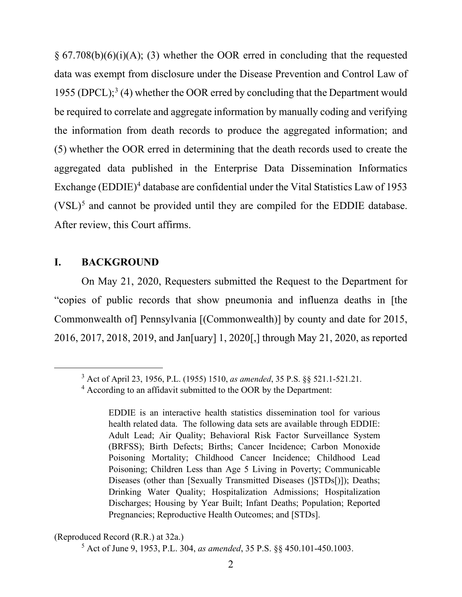$\S 67.708(b)(6)(i)(A);$  (3) whether the OOR erred in concluding that the requested data was exempt from disclosure under the Disease Prevention and Control Law of 1955 (DPCL); [3](#page-1-0) (4) whether the OOR erred by concluding that the Department would be required to correlate and aggregate information by manually coding and verifying the information from death records to produce the aggregated information; and (5) whether the OOR erred in determining that the death records used to create the aggregated data published in the Enterprise Data Dissemination Informatics Exchange (EDDIE)<sup>[4](#page-1-1)</sup> database are confidential under the Vital Statistics Law of 1953  $(VSL)^5$  $(VSL)^5$  and cannot be provided until they are compiled for the EDDIE database. After review, this Court affirms.

# **I. BACKGROUND**

On May 21, 2020, Requesters submitted the Request to the Department for "copies of public records that show pneumonia and influenza deaths in [the Commonwealth of] Pennsylvania [(Commonwealth)] by county and date for 2015, 2016, 2017, 2018, 2019, and Jan[uary] 1, 2020[,] through May 21, 2020, as reported

<span id="page-1-0"></span><sup>3</sup> Act of April 23, 1956, P.L. (1955) 1510, *as amended*, 35 P.S. §§ 521.1-521.21.

<span id="page-1-1"></span><sup>4</sup> According to an affidavit submitted to the OOR by the Department:

EDDIE is an interactive health statistics dissemination tool for various health related data. The following data sets are available through EDDIE: Adult Lead; Air Quality; Behavioral Risk Factor Surveillance System (BRFSS); Birth Defects; Births; Cancer Incidence; Carbon Monoxide Poisoning Mortality; Childhood Cancer Incidence; Childhood Lead Poisoning; Children Less than Age 5 Living in Poverty; Communicable Diseases (other than [Sexually Transmitted Diseases (]STDs[)]); Deaths; Drinking Water Quality; Hospitalization Admissions; Hospitalization Discharges; Housing by Year Built; Infant Deaths; Population; Reported Pregnancies; Reproductive Health Outcomes; and [STDs].

<span id="page-1-2"></span><sup>(</sup>Reproduced Record (R.R.) at 32a.)

<sup>5</sup> Act of June 9, 1953, P.L. 304, *as amended*, 35 P.S. §§ 450.101-450.1003.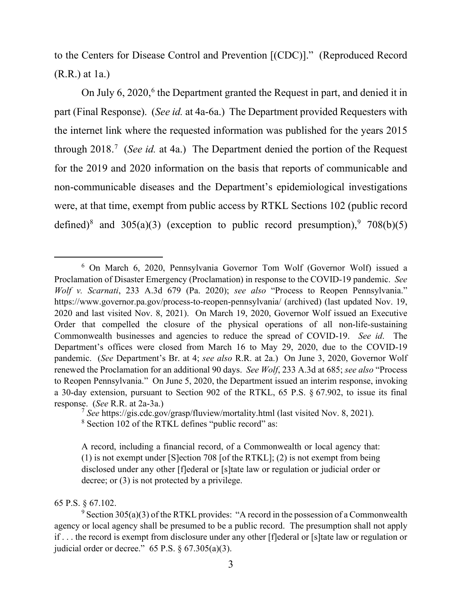to the Centers for Disease Control and Prevention [(CDC)]." (Reproduced Record (R.R.) at 1a.)

On July [6](#page-2-0),  $2020$ , <sup>6</sup> the Department granted the Request in part, and denied it in part (Final Response). (*See id.* at 4a-6a.) The Department provided Requesters with the internet link where the requested information was published for the years 2015 through 2018. [7](#page-2-1) (*See id.* at 4a.) The Department denied the portion of the Request for the 2019 and 2020 information on the basis that reports of communicable and non-communicable diseases and the Department's epidemiological investigations were, at that time, exempt from public access by RTKL Sections 102 (public record defined)<sup>[8](#page-2-2)</sup> and 305(a)(3) (exception to public record presumption),  $9708(b)(5)$  $9708(b)(5)$ 

# 65 P.S. § 67.102.

<span id="page-2-0"></span><sup>6</sup> On March 6, 2020, Pennsylvania Governor Tom Wolf (Governor Wolf) issued a Proclamation of Disaster Emergency (Proclamation) in response to the COVID-19 pandemic. *See Wolf v. Scarnati*, 233 A.3d 679 (Pa. 2020); *see also* "Process to Reopen Pennsylvania." https://www.governor.pa.gov/process-to-reopen-pennsylvania/ (archived) (last updated Nov. 19, 2020 and last visited Nov. 8, 2021). On March 19, 2020, Governor Wolf issued an Executive Order that compelled the closure of the physical operations of all non-life-sustaining Commonwealth businesses and agencies to reduce the spread of COVID-19. *See id*. The Department's offices were closed from March 16 to May 29, 2020, due to the COVID-19 pandemic. (*See* Department's Br. at 4; *see also* R.R. at 2a.) On June 3, 2020, Governor Wolf renewed the Proclamation for an additional 90 days. *See Wolf*, 233 A.3d at 685; *see also* "Process to Reopen Pennsylvania." On June 5, 2020, the Department issued an interim response, invoking a 30-day extension, pursuant to Section 902 of the RTKL, 65 P.S. § 67.902, to issue its final response. (*See* R.R. at 2a-3a.)

<span id="page-2-1"></span><sup>&</sup>lt;sup>7</sup> See https://gis.cdc.gov/grasp/fluview/mortality.html (last visited Nov. 8, 2021).<br><sup>8</sup> Section 102 of the RTKL defines "public record" as:

<span id="page-2-2"></span>

A record, including a financial record, of a Commonwealth or local agency that: (1) is not exempt under [S]ection 708 [of the RTKL]; (2) is not exempt from being disclosed under any other [f]ederal or [s]tate law or regulation or judicial order or decree; or (3) is not protected by a privilege.

<span id="page-2-3"></span> $9$  Section 305(a)(3) of the RTKL provides: "A record in the possession of a Commonwealth agency or local agency shall be presumed to be a public record. The presumption shall not apply if . . . the record is exempt from disclosure under any other [f]ederal or [s]tate law or regulation or judicial order or decree."  $65$  P.S.  $\S$   $67.305(a)(3)$ .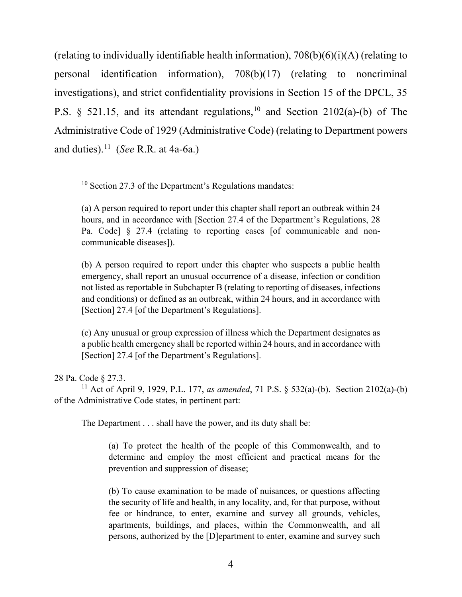(relating to individually identifiable health information),  $708(b)(6)(i)(A)$  (relating to personal identification information), 708(b)(17) (relating to noncriminal investigations), and strict confidentiality provisions in Section 15 of the DPCL, 35 P.S. § 521.15, and its attendant regulations,  $10$  and Section 2102(a)-(b) of The Administrative Code of 1929 (Administrative Code) (relating to Department powers and duties). [11](#page-3-1) (*See* R.R. at 4a-6a.)

(b) A person required to report under this chapter who suspects a public health emergency, shall report an unusual occurrence of a disease, infection or condition not listed as reportable in Subchapter B (relating to reporting of diseases, infections and conditions) or defined as an outbreak, within 24 hours, and in accordance with [Section] 27.4 [of the Department's Regulations].

(c) Any unusual or group expression of illness which the Department designates as a public health emergency shall be reported within 24 hours, and in accordance with [Section] 27.4 [of the Department's Regulations].

### 28 Pa. Code § 27.3.

<span id="page-3-1"></span><sup>11</sup> Act of April 9, 1929, P.L. 177, *as amended*, 71 P.S. § 532(a)-(b). Section 2102(a)-(b) of the Administrative Code states, in pertinent part:

The Department . . . shall have the power, and its duty shall be:

(a) To protect the health of the people of this Commonwealth, and to determine and employ the most efficient and practical means for the prevention and suppression of disease;

(b) To cause examination to be made of nuisances, or questions affecting the security of life and health, in any locality, and, for that purpose, without fee or hindrance, to enter, examine and survey all grounds, vehicles, apartments, buildings, and places, within the Commonwealth, and all persons, authorized by the [D]epartment to enter, examine and survey such

<span id="page-3-0"></span><sup>&</sup>lt;sup>10</sup> Section 27.3 of the Department's Regulations mandates:

<sup>(</sup>a) A person required to report under this chapter shall report an outbreak within 24 hours, and in accordance with [Section 27.4 of the Department's Regulations, 28 Pa. Code] § 27.4 (relating to reporting cases [of communicable and noncommunicable diseases]).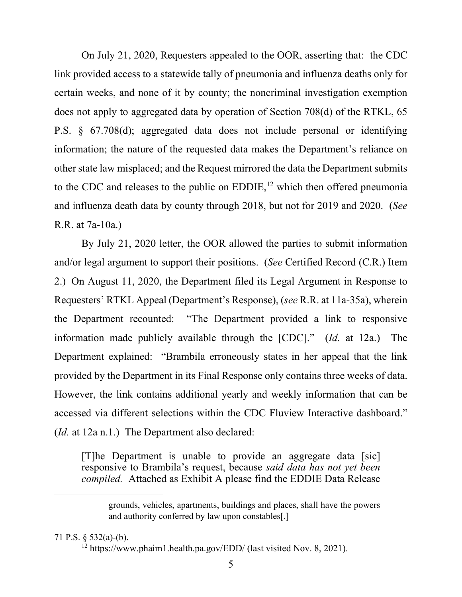On July 21, 2020, Requesters appealed to the OOR, asserting that: the CDC link provided access to a statewide tally of pneumonia and influenza deaths only for certain weeks, and none of it by county; the noncriminal investigation exemption does not apply to aggregated data by operation of Section 708(d) of the RTKL, 65 P.S. § 67.708(d); aggregated data does not include personal or identifying information; the nature of the requested data makes the Department's reliance on other state law misplaced; and the Request mirrored the data the Department submits to the CDC and releases to the public on  $EDDIE$ ,<sup>[12](#page-4-0)</sup> which then offered pneumonia and influenza death data by county through 2018, but not for 2019 and 2020. (*See* R.R. at 7a-10a.)

By July 21, 2020 letter, the OOR allowed the parties to submit information and/or legal argument to support their positions. (*See* Certified Record (C.R.) Item 2.) On August 11, 2020, the Department filed its Legal Argument in Response to Requesters' RTKL Appeal (Department's Response), (*see* R.R. at 11a-35a), wherein the Department recounted: "The Department provided a link to responsive information made publicly available through the [CDC]." (*Id.* at 12a.) The Department explained: "Brambila erroneously states in her appeal that the link provided by the Department in its Final Response only contains three weeks of data. However, the link contains additional yearly and weekly information that can be accessed via different selections within the CDC Fluview Interactive dashboard." (*Id.* at 12a n.1.) The Department also declared:

[T]he Department is unable to provide an aggregate data [sic] responsive to Brambila's request, because *said data has not yet been compiled.* Attached as Exhibit A please find the EDDIE Data Release

<span id="page-4-0"></span>71 P.S. § 532(a)-(b).

grounds, vehicles, apartments, buildings and places, shall have the powers and authority conferred by law upon constables[.]

<sup>12</sup> https://www.phaim1.health.pa.gov/EDD/ (last visited Nov. 8, 2021).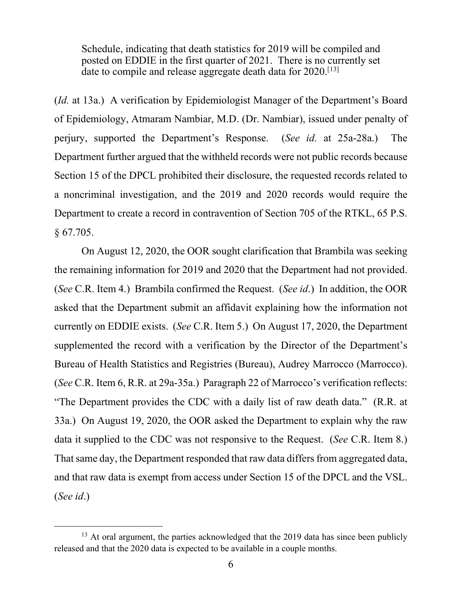Schedule, indicating that death statistics for 2019 will be compiled and posted on EDDIE in the first quarter of 2021. There is no currently set date to compile and release aggregate death data for 2020.<sup>[[13](#page-5-0)]</sup>

(*Id.* at 13a.) A verification by Epidemiologist Manager of the Department's Board of Epidemiology, Atmaram Nambiar, M.D. (Dr. Nambiar), issued under penalty of perjury, supported the Department's Response. (*See id.* at 25a-28a.) The Department further argued that the withheld records were not public records because Section 15 of the DPCL prohibited their disclosure, the requested records related to a noncriminal investigation, and the 2019 and 2020 records would require the Department to create a record in contravention of Section 705 of the RTKL, 65 P.S. § 67.705.

On August 12, 2020, the OOR sought clarification that Brambila was seeking the remaining information for 2019 and 2020 that the Department had not provided. (*See* C.R. Item 4.) Brambila confirmed the Request. (*See id*.) In addition, the OOR asked that the Department submit an affidavit explaining how the information not currently on EDDIE exists. (*See* C.R. Item 5.) On August 17, 2020, the Department supplemented the record with a verification by the Director of the Department's Bureau of Health Statistics and Registries (Bureau), Audrey Marrocco (Marrocco). (*See* C.R. Item 6, R.R. at 29a-35a.) Paragraph 22 of Marrocco's verification reflects: "The Department provides the CDC with a daily list of raw death data." (R.R. at 33a.) On August 19, 2020, the OOR asked the Department to explain why the raw data it supplied to the CDC was not responsive to the Request. (*See* C.R. Item 8.) That same day, the Department responded that raw data differs from aggregated data, and that raw data is exempt from access under Section 15 of the DPCL and the VSL. (*See id*.)

<span id="page-5-0"></span><sup>&</sup>lt;sup>13</sup> At oral argument, the parties acknowledged that the 2019 data has since been publicly released and that the 2020 data is expected to be available in a couple months.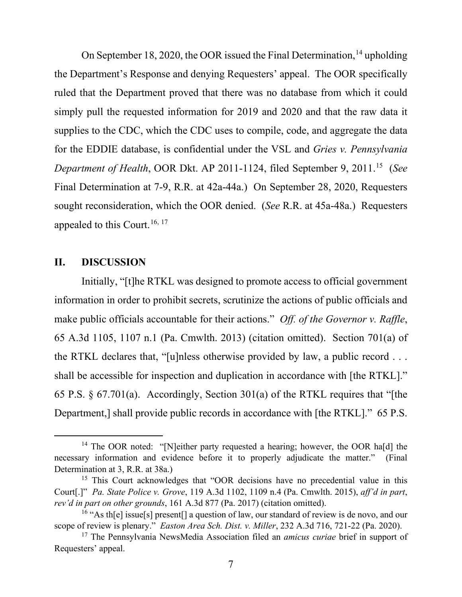On September 18, 2020, the OOR issued the Final Determination, <sup>[14](#page-6-0)</sup> upholding the Department's Response and denying Requesters' appeal. The OOR specifically ruled that the Department proved that there was no database from which it could simply pull the requested information for 2019 and 2020 and that the raw data it supplies to the CDC, which the CDC uses to compile, code, and aggregate the data for the EDDIE database, is confidential under the VSL and *Gries v. Pennsylvania Department of Health*, OOR Dkt. AP 2011-1124, filed September 9, 2011. [15](#page-6-1) (*See* Final Determination at 7-9, R.R. at 42a-44a.) On September 28, 2020, Requesters sought reconsideration, which the OOR denied. (*See* R.R. at 45a-48a.) Requesters appealed to this Court.<sup>[16](#page-6-2), [17](#page-6-3)</sup>

## **II. DISCUSSION**

Initially, "[t]he RTKL was designed to promote access to official government information in order to prohibit secrets, scrutinize the actions of public officials and make public officials accountable for their actions." *Off. of the Governor v. Raffle*, 65 A.3d 1105, 1107 n.1 (Pa. Cmwlth. 2013) (citation omitted). Section 701(a) of the RTKL declares that, "[u]nless otherwise provided by law, a public record . . . shall be accessible for inspection and duplication in accordance with [the RTKL]." 65 P.S. § 67.701(a). Accordingly, Section 301(a) of the RTKL requires that "[the Department,] shall provide public records in accordance with [the RTKL]." 65 P.S.

<span id="page-6-0"></span><sup>&</sup>lt;sup>14</sup> The OOR noted: "[N]either party requested a hearing; however, the OOR ha[d] the necessary information and evidence before it to properly adjudicate the matter." (Final Determination at 3, R.R. at 38a.)<br><sup>15</sup> This Court acknowledges that "OOR decisions have no precedential value in this

<span id="page-6-1"></span>Court[.]" *Pa. State Police v. Grove*, 119 A.3d 1102, 1109 n.4 (Pa. Cmwlth. 2015), *aff'd in part*, *rev'd in part on other grounds*, 161 A.3d 877 (Pa. 2017) (citation omitted).<br><sup>16</sup> "As th[e] issue[s] present[] a question of law, our standard of review is de novo, and our

<span id="page-6-2"></span>scope of review is plenary." *Easton Area Sch. Dist. v. Miller*, 232 A.3d 716, 721-22 (Pa. 2020).

<span id="page-6-3"></span><sup>17</sup> The Pennsylvania NewsMedia Association filed an *amicus curiae* brief in support of Requesters' appeal.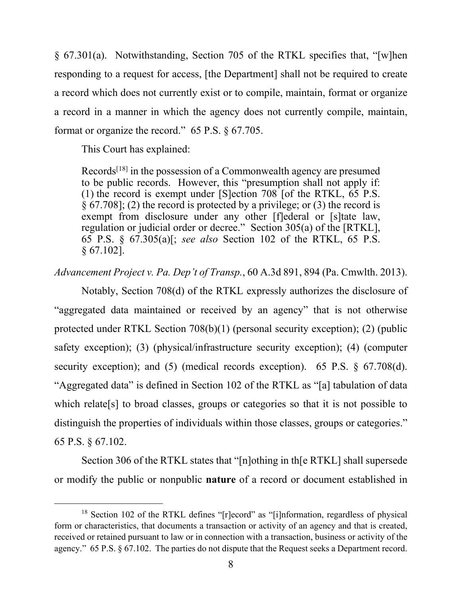§ 67.301(a). Notwithstanding, Section 705 of the RTKL specifies that, "[w]hen responding to a request for access, [the Department] shall not be required to create a record which does not currently exist or to compile, maintain, format or organize a record in a manner in which the agency does not currently compile, maintain, format or organize the record." 65 P.S. § 67.705.

This Court has explained:

Records[[18\]](#page-7-0) in the possession of a Commonwealth agency are presumed to be public records. However, this "presumption shall not apply if: (1) the record is exempt under [S]ection 708 [of the RTKL, 65 P.S.  $\S 67.708$ ; (2) the record is protected by a privilege; or (3) the record is exempt from disclosure under any other [f]ederal or [s]tate law, regulation or judicial order or decree." Section 305(a) of the [RTKL], 65 P.S. § 67.305(a)[; *see also* Section 102 of the RTKL, 65 P.S. § 67.102].

*Advancement Project v. Pa. Dep't of Transp.*, 60 A.3d 891, 894 (Pa. Cmwlth. 2013).

Notably, Section 708(d) of the RTKL expressly authorizes the disclosure of "aggregated data maintained or received by an agency" that is not otherwise protected under RTKL Section 708(b)(1) (personal security exception); (2) (public safety exception); (3) (physical/infrastructure security exception); (4) (computer security exception); and (5) (medical records exception). 65 P.S. § 67.708(d). "Aggregated data" is defined in Section 102 of the RTKL as "[a] tabulation of data which relate<sup>[s]</sup> to broad classes, groups or categories so that it is not possible to distinguish the properties of individuals within those classes, groups or categories." 65 P.S. § 67.102.

Section 306 of the RTKL states that "[n]othing in th[e RTKL] shall supersede or modify the public or nonpublic **nature** of a record or document established in

<span id="page-7-0"></span><sup>&</sup>lt;sup>18</sup> Section 102 of the RTKL defines "[r]ecord" as "[i]nformation, regardless of physical form or characteristics, that documents a transaction or activity of an agency and that is created, received or retained pursuant to law or in connection with a transaction, business or activity of the agency." 65 P.S. § 67.102. The parties do not dispute that the Request seeks a Department record.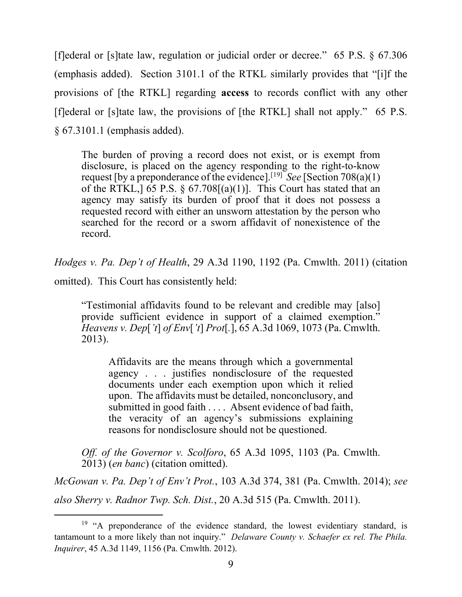[f]ederal or [s]tate law, regulation or judicial order or decree." 65 P.S. § 67.306 (emphasis added). Section 3101.1 of the RTKL similarly provides that "[i]f the provisions of [the RTKL] regarding **access** to records conflict with any other [f]ederal or [s]tate law, the provisions of [the RTKL] shall not apply." 65 P.S. § 67.3101.1 (emphasis added).

The burden of proving a record does not exist, or is exempt from disclosure, is placed on the agency responding to the right-to-know request [by a preponderance of the evidence].[[19](#page-8-0)] *See* [Section 708(a)(1) of the RTKL,  $\left[ 65 \text{ P.S.} \right]$ ,  $\left[ 65 \text{ P.S.} \right]$ ,  $\left[ 67.708 \right]$  (a)(1)]. This Court has stated that an agency may satisfy its burden of proof that it does not possess a requested record with either an unsworn attestation by the person who searched for the record or a sworn affidavit of nonexistence of the record.

*Hodges v. Pa. Dep't of Health*, 29 A.3d 1190, 1192 (Pa. Cmwlth. 2011) (citation

omitted). This Court has consistently held:

"Testimonial affidavits found to be relevant and credible may [also] provide sufficient evidence in support of a claimed exemption." *Heavens v. Dep*[*'t*] *of Env*[*'t*] *Prot*[*.*], 65 A.3d 1069, 1073 (Pa. Cmwlth. 2013).

Affidavits are the means through which a governmental agency . . . justifies nondisclosure of the requested documents under each exemption upon which it relied upon. The affidavits must be detailed, nonconclusory, and submitted in good faith . . . . Absent evidence of bad faith, the veracity of an agency's submissions explaining reasons for nondisclosure should not be questioned.

*Off. of the Governor v. Scolforo*, 65 A.3d 1095, 1103 (Pa. Cmwlth. 2013) (*en banc*) (citation omitted).

*McGowan v. Pa. Dep't of Env't Prot.*, 103 A.3d 374, 381 (Pa. Cmwlth. 2014); *see also Sherry v. Radnor Twp. Sch. Dist.*, 20 A.3d 515 (Pa. Cmwlth. 2011).

<span id="page-8-0"></span><sup>&</sup>lt;sup>19</sup> "A preponderance of the evidence standard, the lowest evidentiary standard, is tantamount to a more likely than not inquiry." *Delaware County v. Schaefer ex rel. The Phila. Inquirer*, 45 A.3d 1149, 1156 (Pa. Cmwlth. 2012).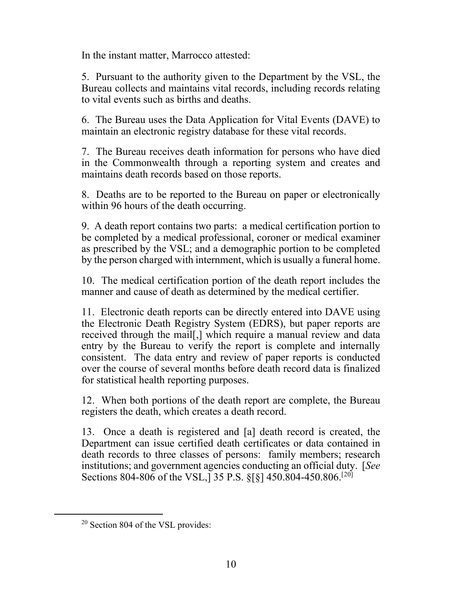In the instant matter, Marrocco attested:

5. Pursuant to the authority given to the Department by the VSL, the Bureau collects and maintains vital records, including records relating to vital events such as births and deaths.

6. The Bureau uses the Data Application for Vital Events (DAVE) to maintain an electronic registry database for these vital records.

7. The Bureau receives death information for persons who have died in the Commonwealth through a reporting system and creates and maintains death records based on those reports.

8. Deaths are to be reported to the Bureau on paper or electronically within 96 hours of the death occurring.

9. A death report contains two parts: a medical certification portion to be completed by a medical professional, coroner or medical examiner as prescribed by the VSL; and a demographic portion to be completed by the person charged with internment, which is usually a funeral home.

10. The medical certification portion of the death report includes the manner and cause of death as determined by the medical certifier.

11. Electronic death reports can be directly entered into DAVE using the Electronic Death Registry System (EDRS), but paper reports are received through the mail[,] which require a manual review and data entry by the Bureau to verify the report is complete and internally consistent. The data entry and review of paper reports is conducted over the course of several months before death record data is finalized for statistical health reporting purposes.

12. When both portions of the death report are complete, the Bureau registers the death, which creates a death record.

13. Once a death is registered and [a] death record is created, the Department can issue certified death certificates or data contained in death records to three classes of persons: family members; research institutions; and government agencies conducting an official duty. [*See* Sections 804-806 of the VSL,  $\bar{3}5$  P.S. §[§] 450.804-450.806.<sup>[[20](#page-9-0)]</sup>

<span id="page-9-0"></span> $20$  Section 804 of the VSL provides: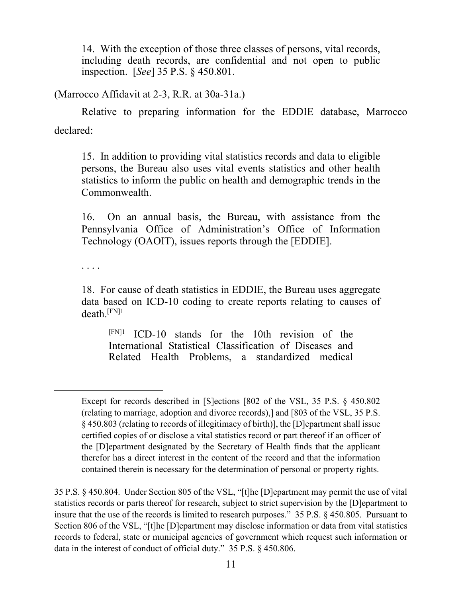14. With the exception of those three classes of persons, vital records, including death records, are confidential and not open to public inspection. [*See*] 35 P.S. § 450.801.

(Marrocco Affidavit at 2-3, R.R. at 30a-31a.)

Relative to preparing information for the EDDIE database, Marrocco declared:

15. In addition to providing vital statistics records and data to eligible persons, the Bureau also uses vital events statistics and other health statistics to inform the public on health and demographic trends in the Commonwealth.

16. On an annual basis, the Bureau, with assistance from the Pennsylvania Office of Administration's Office of Information Technology (OAOIT), issues reports through the [EDDIE].

. . . .

18. For cause of death statistics in EDDIE, the Bureau uses aggregate data based on ICD-10 coding to create reports relating to causes of death.[FN]1

 $[FN]$ <sup>1</sup> ICD-10 stands for the 10th revision of the International Statistical Classification of Diseases and Related Health Problems, a standardized medical

Except for records described in [S]ections [802 of the VSL, 35 P.S. § 450.802 (relating to marriage, adoption and divorce records),] and [803 of the VSL, 35 P.S. § 450.803 (relating to records of illegitimacy of birth)], the [D]epartment shall issue certified copies of or disclose a vital statistics record or part thereof if an officer of the [D]epartment designated by the Secretary of Health finds that the applicant therefor has a direct interest in the content of the record and that the information contained therein is necessary for the determination of personal or property rights.

<sup>35</sup> P.S. § 450.804. Under Section 805 of the VSL, "[t]he [D]epartment may permit the use of vital statistics records or parts thereof for research, subject to strict supervision by the [D]epartment to insure that the use of the records is limited to research purposes." 35 P.S. § 450.805. Pursuant to Section 806 of the VSL, "[t]he [D]epartment may disclose information or data from vital statistics records to federal, state or municipal agencies of government which request such information or data in the interest of conduct of official duty." 35 P.S. § 450.806.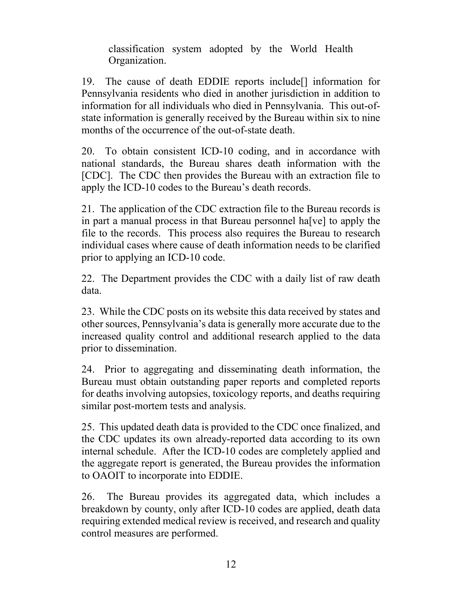classification system adopted by the World Health Organization.

19. The cause of death EDDIE reports include[] information for Pennsylvania residents who died in another jurisdiction in addition to information for all individuals who died in Pennsylvania. This out-ofstate information is generally received by the Bureau within six to nine months of the occurrence of the out-of-state death.

20. To obtain consistent ICD-10 coding, and in accordance with national standards, the Bureau shares death information with the [CDC]. The CDC then provides the Bureau with an extraction file to apply the ICD-10 codes to the Bureau's death records.

21. The application of the CDC extraction file to the Bureau records is in part a manual process in that Bureau personnel ha[ve] to apply the file to the records. This process also requires the Bureau to research individual cases where cause of death information needs to be clarified prior to applying an ICD-10 code.

22. The Department provides the CDC with a daily list of raw death data.

23. While the CDC posts on its website this data received by states and other sources, Pennsylvania's data is generally more accurate due to the increased quality control and additional research applied to the data prior to dissemination.

24. Prior to aggregating and disseminating death information, the Bureau must obtain outstanding paper reports and completed reports for deaths involving autopsies, toxicology reports, and deaths requiring similar post-mortem tests and analysis.

25. This updated death data is provided to the CDC once finalized, and the CDC updates its own already-reported data according to its own internal schedule. After the ICD-10 codes are completely applied and the aggregate report is generated, the Bureau provides the information to OAOIT to incorporate into EDDIE.

26. The Bureau provides its aggregated data, which includes a breakdown by county, only after ICD-10 codes are applied, death data requiring extended medical review is received, and research and quality control measures are performed.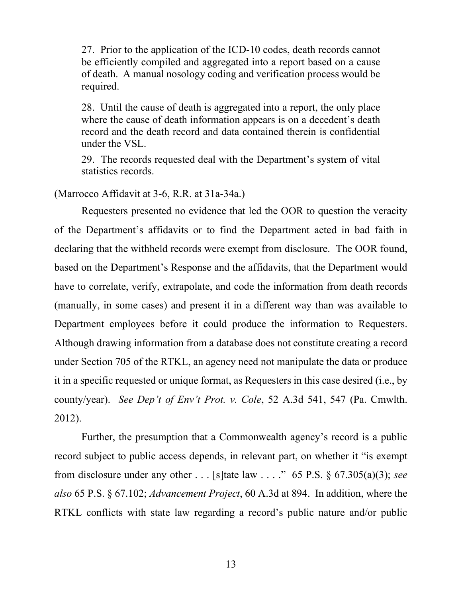27. Prior to the application of the ICD-10 codes, death records cannot be efficiently compiled and aggregated into a report based on a cause of death. A manual nosology coding and verification process would be required.

28. Until the cause of death is aggregated into a report, the only place where the cause of death information appears is on a decedent's death record and the death record and data contained therein is confidential under the VSL.

29. The records requested deal with the Department's system of vital statistics records.

#### (Marrocco Affidavit at 3-6, R.R. at 31a-34a.)

Requesters presented no evidence that led the OOR to question the veracity of the Department's affidavits or to find the Department acted in bad faith in declaring that the withheld records were exempt from disclosure. The OOR found, based on the Department's Response and the affidavits, that the Department would have to correlate, verify, extrapolate, and code the information from death records (manually, in some cases) and present it in a different way than was available to Department employees before it could produce the information to Requesters. Although drawing information from a database does not constitute creating a record under Section 705 of the RTKL, an agency need not manipulate the data or produce it in a specific requested or unique format, as Requesters in this case desired (i.e., by county/year). *See Dep't of Env't Prot. v. Cole*, 52 A.3d 541, 547 (Pa. Cmwlth. 2012).

Further, the presumption that a Commonwealth agency's record is a public record subject to public access depends, in relevant part, on whether it "is exempt from disclosure under any other . . . [s]tate law . . . ." 65 P.S. § 67.305(a)(3); *see also* 65 P.S. § 67.102; *Advancement Project*, 60 A.3d at 894. In addition, where the RTKL conflicts with state law regarding a record's public nature and/or public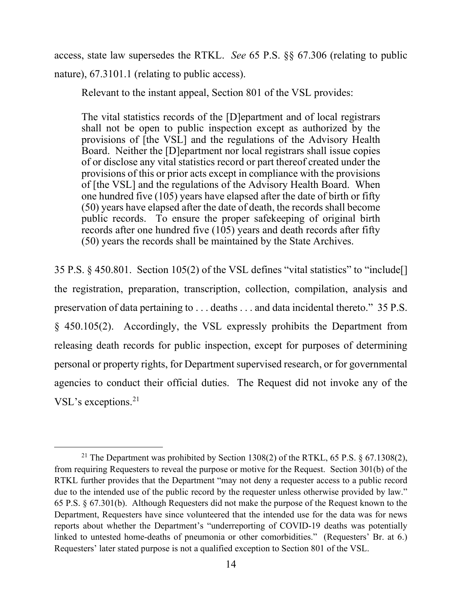access, state law supersedes the RTKL. *See* 65 P.S. §§ 67.306 (relating to public nature), 67.3101.1 (relating to public access).

Relevant to the instant appeal, Section 801 of the VSL provides:

The vital statistics records of the [D]epartment and of local registrars shall not be open to public inspection except as authorized by the provisions of [the VSL] and the regulations of the Advisory Health Board. Neither the [D]epartment nor local registrars shall issue copies of or disclose any vital statistics record or part thereof created under the provisions of this or prior acts except in compliance with the provisions of [the VSL] and the regulations of the Advisory Health Board. When one hundred five (105) years have elapsed after the date of birth or fifty (50) years have elapsed after the date of death, the records shall become public records. To ensure the proper safekeeping of original birth records after one hundred five (105) years and death records after fifty (50) years the records shall be maintained by the State Archives.

35 P.S. § 450.801. Section 105(2) of the VSL defines "vital statistics" to "include[] the registration, preparation, transcription, collection, compilation, analysis and preservation of data pertaining to . . . deaths . . . and data incidental thereto." 35 P.S. § 450.105(2). Accordingly, the VSL expressly prohibits the Department from releasing death records for public inspection, except for purposes of determining personal or property rights, for Department supervised research, or for governmental agencies to conduct their official duties. The Request did not invoke any of the VSL's exceptions.<sup>[21](#page-13-0)</sup>

<span id="page-13-0"></span><sup>&</sup>lt;sup>21</sup> The Department was prohibited by Section 1308(2) of the RTKL, 65 P.S.  $\S$  67.1308(2), from requiring Requesters to reveal the purpose or motive for the Request. Section 301(b) of the RTKL further provides that the Department "may not deny a requester access to a public record due to the intended use of the public record by the requester unless otherwise provided by law." 65 P.S. § 67.301(b). Although Requesters did not make the purpose of the Request known to the Department, Requesters have since volunteered that the intended use for the data was for news reports about whether the Department's "underreporting of COVID-19 deaths was potentially linked to untested home-deaths of pneumonia or other comorbidities." (Requesters' Br. at 6.) Requesters' later stated purpose is not a qualified exception to Section 801 of the VSL.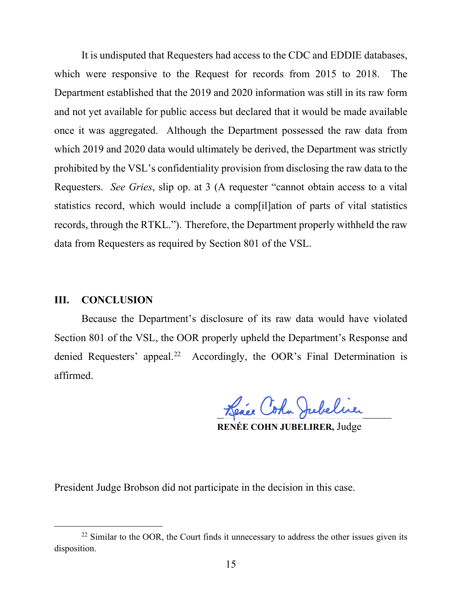It is undisputed that Requesters had access to the CDC and EDDIE databases, which were responsive to the Request for records from 2015 to 2018. The Department established that the 2019 and 2020 information was still in its raw form and not yet available for public access but declared that it would be made available once it was aggregated. Although the Department possessed the raw data from which 2019 and 2020 data would ultimately be derived, the Department was strictly prohibited by the VSL's confidentiality provision from disclosing the raw data to the Requesters. *See Gries*, slip op. at 3 (A requester "cannot obtain access to a vital statistics record, which would include a comp[il]ation of parts of vital statistics records, through the RTKL."). Therefore, the Department properly withheld the raw data from Requesters as required by Section 801 of the VSL.

## **III. CONCLUSION**

Because the Department's disclosure of its raw data would have violated Section 801 of the VSL, the OOR properly upheld the Department's Response and denied Requesters' appeal.<sup>22</sup> Accordingly, the OOR's Final Determination is affirmed.

Lence Coha Jubeline

**RENÉE COHN JUBELIRER,** Judge

President Judge Brobson did not participate in the decision in this case.

<span id="page-14-0"></span> $22$  Similar to the OOR, the Court finds it unnecessary to address the other issues given its disposition.